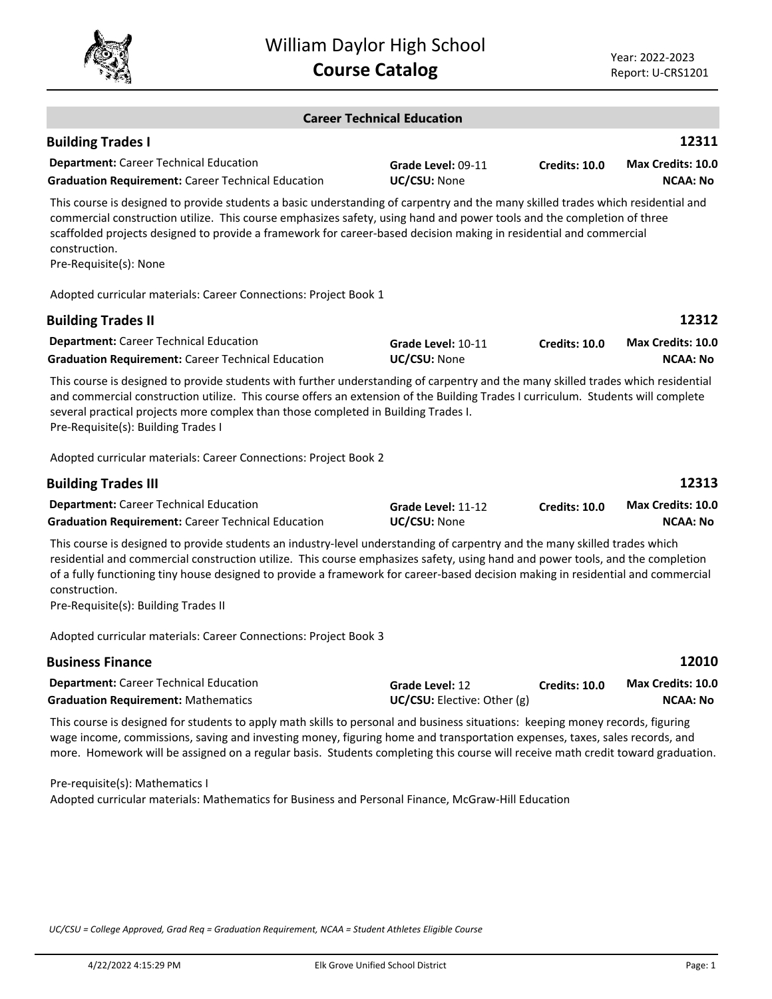

|                                                                                                                                                                                                                                                                                                                                                                                                                                                           | <b>Career Technical Education</b>              |               |                                             |
|-----------------------------------------------------------------------------------------------------------------------------------------------------------------------------------------------------------------------------------------------------------------------------------------------------------------------------------------------------------------------------------------------------------------------------------------------------------|------------------------------------------------|---------------|---------------------------------------------|
| <b>Building Trades I</b>                                                                                                                                                                                                                                                                                                                                                                                                                                  |                                                |               | 12311                                       |
| <b>Department:</b> Career Technical Education<br><b>Graduation Requirement: Career Technical Education</b>                                                                                                                                                                                                                                                                                                                                                | Grade Level: 09-11<br>UC/CSU: None             | Credits: 10.0 | Max Credits: 10.0<br><b>NCAA: No</b>        |
| This course is designed to provide students a basic understanding of carpentry and the many skilled trades which residential and<br>commercial construction utilize. This course emphasizes safety, using hand and power tools and the completion of three<br>scaffolded projects designed to provide a framework for career-based decision making in residential and commercial<br>construction.<br>Pre-Requisite(s): None                               |                                                |               |                                             |
| Adopted curricular materials: Career Connections: Project Book 1                                                                                                                                                                                                                                                                                                                                                                                          |                                                |               |                                             |
| <b>Building Trades II</b>                                                                                                                                                                                                                                                                                                                                                                                                                                 |                                                |               | 12312                                       |
| <b>Department:</b> Career Technical Education<br><b>Graduation Requirement: Career Technical Education</b>                                                                                                                                                                                                                                                                                                                                                | Grade Level: 10-11<br>UC/CSU: None             | Credits: 10.0 | <b>Max Credits: 10.0</b><br><b>NCAA: No</b> |
| This course is designed to provide students with further understanding of carpentry and the many skilled trades which residential<br>and commercial construction utilize. This course offers an extension of the Building Trades I curriculum. Students will complete<br>several practical projects more complex than those completed in Building Trades I.<br>Pre-Requisite(s): Building Trades I                                                        |                                                |               |                                             |
| Adopted curricular materials: Career Connections: Project Book 2                                                                                                                                                                                                                                                                                                                                                                                          |                                                |               |                                             |
| <b>Building Trades III</b>                                                                                                                                                                                                                                                                                                                                                                                                                                |                                                |               | 12313                                       |
| <b>Department:</b> Career Technical Education<br><b>Graduation Requirement: Career Technical Education</b>                                                                                                                                                                                                                                                                                                                                                | Grade Level: 11-12<br>UC/CSU: None             | Credits: 10.0 | Max Credits: 10.0<br><b>NCAA: No</b>        |
| This course is designed to provide students an industry-level understanding of carpentry and the many skilled trades which<br>residential and commercial construction utilize. This course emphasizes safety, using hand and power tools, and the completion<br>of a fully functioning tiny house designed to provide a framework for career-based decision making in residential and commercial<br>construction.<br>Pre-Requisite(s): Building Trades II |                                                |               |                                             |
| Adopted curricular materials: Career Connections: Project Book 3                                                                                                                                                                                                                                                                                                                                                                                          |                                                |               |                                             |
| <b>Business Finance</b>                                                                                                                                                                                                                                                                                                                                                                                                                                   |                                                |               | 12010                                       |
| <b>Department:</b> Career Technical Education<br><b>Graduation Requirement: Mathematics</b>                                                                                                                                                                                                                                                                                                                                                               | Grade Level: 12<br>UC/CSU: Elective: Other (g) | Credits: 10.0 | <b>Max Credits: 10.0</b><br><b>NCAA: No</b> |
| This course is designed for students to apply math skills to personal and business situations: keeping money records, figuring<br>wage income, commissions, saving and investing money, figuring home and transportation expenses, taxes, sales records, and<br>more. Homework will be assigned on a regular basis. Students completing this course will receive math credit toward graduation.                                                           |                                                |               |                                             |

Pre-requisite(s): Mathematics I Adopted curricular materials: Mathematics for Business and Personal Finance, McGraw-Hill Education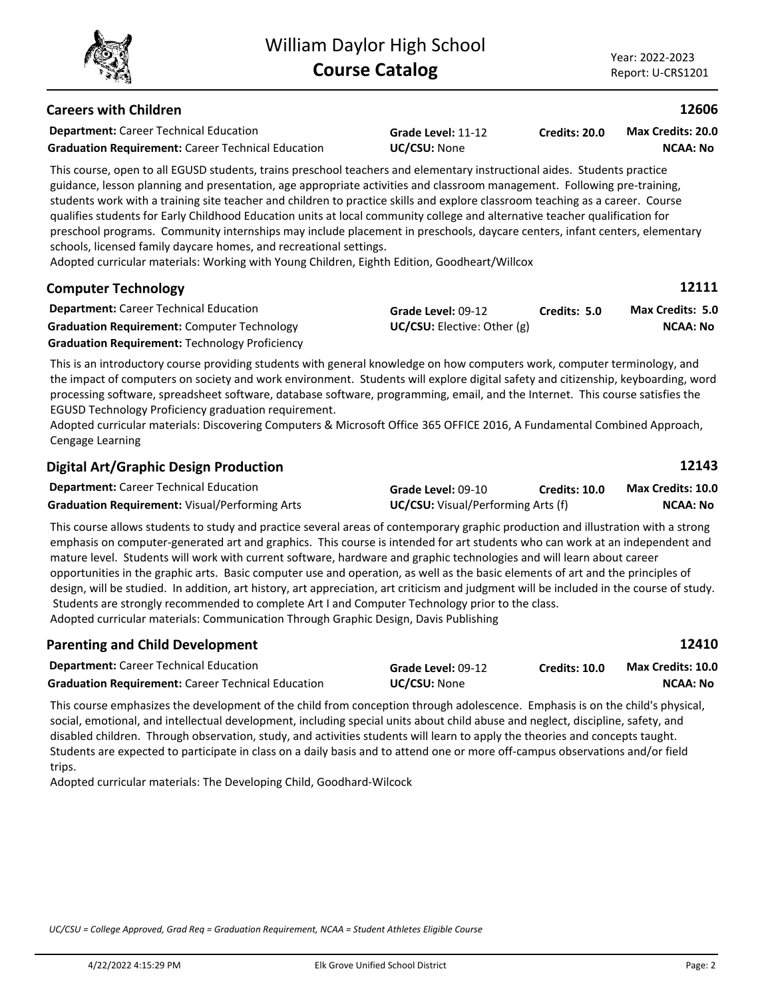# **Careers with Children**

**Department:** Career Technical Education **Graduation Requirement:** Career Technical Education **UC/CSU:** None

**Grade Level:** 11-12

**Credits: 20.0 NCAA: No Max Credits: 20.0**

This course, open to all EGUSD students, trains preschool teachers and elementary instructional aides. Students practice guidance, lesson planning and presentation, age appropriate activities and classroom management. Following pre-training, students work with a training site teacher and children to practice skills and explore classroom teaching as a career. Course qualifies students for Early Childhood Education units at local community college and alternative teacher qualification for preschool programs. Community internships may include placement in preschools, daycare centers, infant centers, elementary schools, licensed family daycare homes, and recreational settings.

Adopted curricular materials: Working with Young Children, Eighth Edition, Goodheart/Willcox

| <b>Department:</b> Career Technical Education         | Grade Level: 09-12              | Credits: 5.0 | <b>Max Credits: 5.0</b> |
|-------------------------------------------------------|---------------------------------|--------------|-------------------------|
| <b>Graduation Requirement: Computer Technology</b>    | $UC/CSU:$ Elective: Other $(g)$ |              | <b>NCAA: No</b>         |
| <b>Graduation Requirement: Technology Proficiency</b> |                                 |              |                         |

This is an introductory course providing students with general knowledge on how computers work, computer terminology, and the impact of computers on society and work environment. Students will explore digital safety and citizenship, keyboarding, word processing software, spreadsheet software, database software, programming, email, and the Internet. This course satisfies the EGUSD Technology Proficiency graduation requirement.

Adopted curricular materials: Discovering Computers & Microsoft Office 365 OFFICE 2016, A Fundamental Combined Approach, Cengage Learning

| <b>Digital Art/Graphic Design Production</b>          |                                           |               | 12143                    |
|-------------------------------------------------------|-------------------------------------------|---------------|--------------------------|
| <b>Department:</b> Career Technical Education         | Grade Level: 09-10                        | Credits: 10.0 | <b>Max Credits: 10.0</b> |
| <b>Graduation Requirement: Visual/Performing Arts</b> | <b>UC/CSU:</b> Visual/Performing Arts (f) |               | NCAA: No                 |

This course allows students to study and practice several areas of contemporary graphic production and illustration with a strong emphasis on computer-generated art and graphics. This course is intended for art students who can work at an independent and mature level. Students will work with current software, hardware and graphic technologies and will learn about career opportunities in the graphic arts. Basic computer use and operation, as well as the basic elements of art and the principles of design, will be studied. In addition, art history, art appreciation, art criticism and judgment will be included in the course of study. Students are strongly recommended to complete Art I and Computer Technology prior to the class. Adopted curricular materials: Communication Through Graphic Design, Davis Publishing

| <b>Parenting and Child Development</b>                    |                     |                      | 12410                    |
|-----------------------------------------------------------|---------------------|----------------------|--------------------------|
| <b>Department:</b> Career Technical Education             | Grade Level: 09-12  | <b>Credits: 10.0</b> | <b>Max Credits: 10.0</b> |
| <b>Graduation Requirement: Career Technical Education</b> | <b>UC/CSU:</b> None |                      | NCAA: No                 |

This course emphasizes the development of the child from conception through adolescence. Emphasis is on the child's physical, social, emotional, and intellectual development, including special units about child abuse and neglect, discipline, safety, and disabled children. Through observation, study, and activities students will learn to apply the theories and concepts taught. Students are expected to participate in class on a daily basis and to attend one or more off-campus observations and/or field trips.

Adopted curricular materials: The Developing Child, Goodhard-Wilcock

*UC/CSU = College Approved, Grad Req = Graduation Requirement, NCAA = Student Athletes Eligible Course*



**12111**

**12606**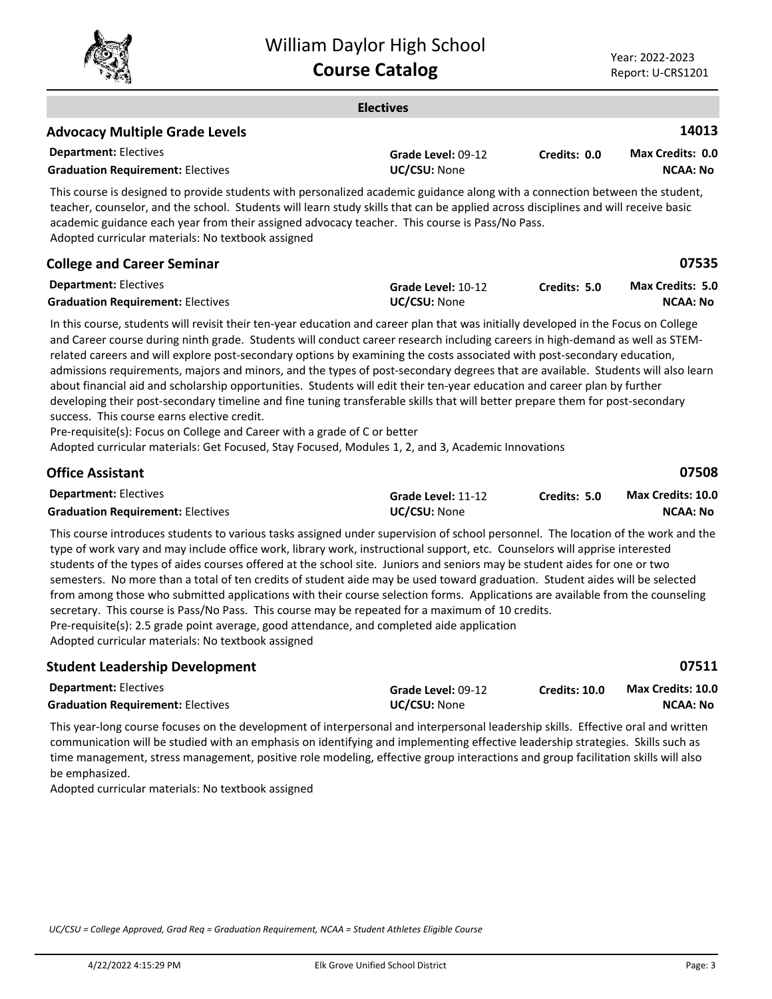

|                                                                                                                                                                                                                                                                                                                                                                                                                                                                                                                                                                                                                                                                                                                                                                                                                                                                                                                                                                                                                                      | <b>Electives</b>                   |               |                                             |
|--------------------------------------------------------------------------------------------------------------------------------------------------------------------------------------------------------------------------------------------------------------------------------------------------------------------------------------------------------------------------------------------------------------------------------------------------------------------------------------------------------------------------------------------------------------------------------------------------------------------------------------------------------------------------------------------------------------------------------------------------------------------------------------------------------------------------------------------------------------------------------------------------------------------------------------------------------------------------------------------------------------------------------------|------------------------------------|---------------|---------------------------------------------|
| <b>Advocacy Multiple Grade Levels</b>                                                                                                                                                                                                                                                                                                                                                                                                                                                                                                                                                                                                                                                                                                                                                                                                                                                                                                                                                                                                |                                    |               | 14013                                       |
| <b>Department: Electives</b><br><b>Graduation Requirement: Electives</b>                                                                                                                                                                                                                                                                                                                                                                                                                                                                                                                                                                                                                                                                                                                                                                                                                                                                                                                                                             | Grade Level: 09-12<br>UC/CSU: None | Credits: 0.0  | <b>Max Credits: 0.0</b><br><b>NCAA: No</b>  |
| This course is designed to provide students with personalized academic guidance along with a connection between the student,<br>teacher, counselor, and the school. Students will learn study skills that can be applied across disciplines and will receive basic<br>academic guidance each year from their assigned advocacy teacher. This course is Pass/No Pass.<br>Adopted curricular materials: No textbook assigned                                                                                                                                                                                                                                                                                                                                                                                                                                                                                                                                                                                                           |                                    |               |                                             |
| <b>College and Career Seminar</b>                                                                                                                                                                                                                                                                                                                                                                                                                                                                                                                                                                                                                                                                                                                                                                                                                                                                                                                                                                                                    |                                    |               | 07535                                       |
| <b>Department: Electives</b><br><b>Graduation Requirement: Electives</b>                                                                                                                                                                                                                                                                                                                                                                                                                                                                                                                                                                                                                                                                                                                                                                                                                                                                                                                                                             | Grade Level: 10-12<br>UC/CSU: None | Credits: 5.0  | Max Credits: 5.0<br><b>NCAA: No</b>         |
| In this course, students will revisit their ten-year education and career plan that was initially developed in the Focus on College<br>and Career course during ninth grade. Students will conduct career research including careers in high-demand as well as STEM-<br>related careers and will explore post-secondary options by examining the costs associated with post-secondary education,<br>admissions requirements, majors and minors, and the types of post-secondary degrees that are available. Students will also learn<br>about financial aid and scholarship opportunities. Students will edit their ten-year education and career plan by further<br>developing their post-secondary timeline and fine tuning transferable skills that will better prepare them for post-secondary<br>success. This course earns elective credit.<br>Pre-requisite(s): Focus on College and Career with a grade of C or better<br>Adopted curricular materials: Get Focused, Stay Focused, Modules 1, 2, and 3, Academic Innovations |                                    |               |                                             |
| Office Assistant                                                                                                                                                                                                                                                                                                                                                                                                                                                                                                                                                                                                                                                                                                                                                                                                                                                                                                                                                                                                                     |                                    |               | 07508                                       |
| <b>Department: Electives</b><br><b>Graduation Requirement: Electives</b>                                                                                                                                                                                                                                                                                                                                                                                                                                                                                                                                                                                                                                                                                                                                                                                                                                                                                                                                                             | Grade Level: 11-12<br>UC/CSU: None | Credits: 5.0  | Max Credits: 10.0<br><b>NCAA: No</b>        |
| This course introduces students to various tasks assigned under supervision of school personnel. The location of the work and the<br>type of work vary and may include office work, library work, instructional support, etc. Counselors will apprise interested<br>students of the types of aides courses offered at the school site. Juniors and seniors may be student aides for one or two<br>semesters. No more than a total of ten credits of student aide may be used toward graduation. Student aides will be selected<br>from among those who submitted applications with their course selection forms. Applications are available from the counseling<br>secretary. This course is Pass/No Pass. This course may be repeated for a maximum of 10 credits.<br>Pre-requisite(s): 2.5 grade point average, good attendance, and completed aide application<br>Adopted curricular materials: No textbook assigned                                                                                                              |                                    |               |                                             |
| <b>Student Leadership Development</b>                                                                                                                                                                                                                                                                                                                                                                                                                                                                                                                                                                                                                                                                                                                                                                                                                                                                                                                                                                                                |                                    |               | 07511                                       |
| <b>Department: Electives</b><br><b>Graduation Requirement: Electives</b>                                                                                                                                                                                                                                                                                                                                                                                                                                                                                                                                                                                                                                                                                                                                                                                                                                                                                                                                                             | Grade Level: 09-12<br>UC/CSU: None | Credits: 10.0 | <b>Max Credits: 10.0</b><br><b>NCAA: No</b> |
| This year-long course focuses on the development of interpersonal and interpersonal leadership skills. Effective oral and written                                                                                                                                                                                                                                                                                                                                                                                                                                                                                                                                                                                                                                                                                                                                                                                                                                                                                                    |                                    |               |                                             |

communication will be studied with an emphasis on identifying and implementing effective leadership strategies. Skills such as time management, stress management, positive role modeling, effective group interactions and group facilitation skills will also be emphasized.

Adopted curricular materials: No textbook assigned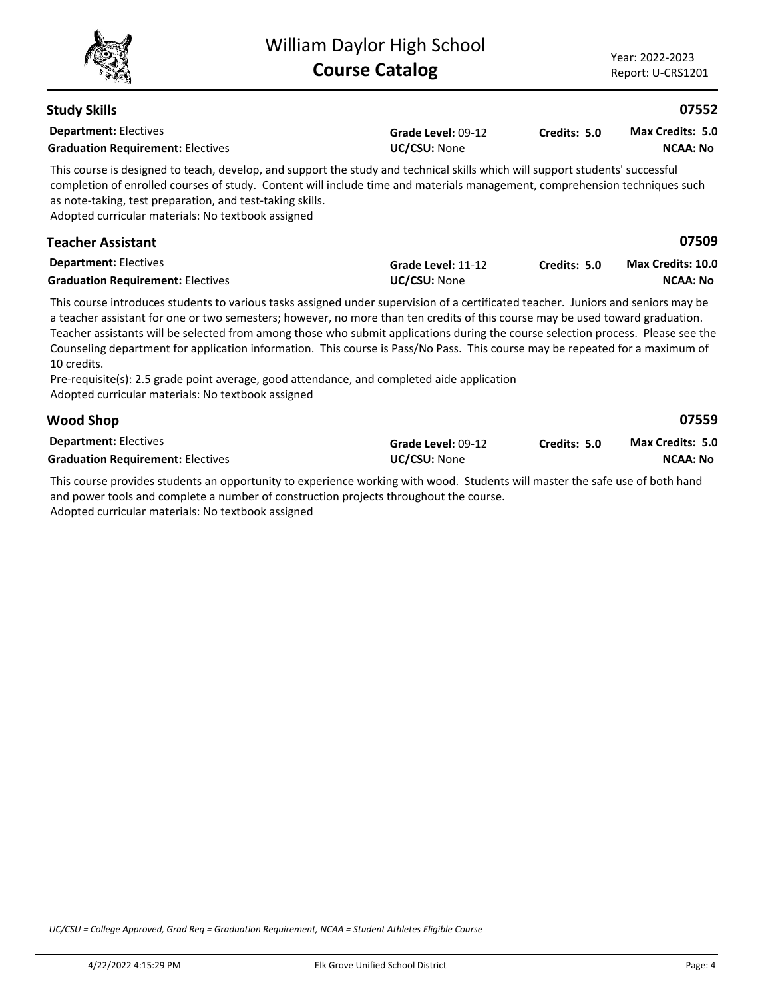|                                                                                                                                                                                                                                                                                                                                                                                                                                                                                                                                                                                                                                                                                                           | <b>William Daylor High School</b><br><b>Course Catalog</b> |              | Year: 2022-2023<br>Report: U-CRS1201       |
|-----------------------------------------------------------------------------------------------------------------------------------------------------------------------------------------------------------------------------------------------------------------------------------------------------------------------------------------------------------------------------------------------------------------------------------------------------------------------------------------------------------------------------------------------------------------------------------------------------------------------------------------------------------------------------------------------------------|------------------------------------------------------------|--------------|--------------------------------------------|
| <b>Study Skills</b>                                                                                                                                                                                                                                                                                                                                                                                                                                                                                                                                                                                                                                                                                       |                                                            |              | 07552                                      |
| <b>Department: Electives</b><br><b>Graduation Requirement: Electives</b>                                                                                                                                                                                                                                                                                                                                                                                                                                                                                                                                                                                                                                  | Grade Level: 09-12<br>UC/CSU: None                         | Credits: 5.0 | <b>Max Credits: 5.0</b><br><b>NCAA: No</b> |
| This course is designed to teach, develop, and support the study and technical skills which will support students' successful<br>completion of enrolled courses of study. Content will include time and materials management, comprehension techniques such<br>as note-taking, test preparation, and test-taking skills.<br>Adopted curricular materials: No textbook assigned                                                                                                                                                                                                                                                                                                                            |                                                            |              |                                            |
| <b>Teacher Assistant</b>                                                                                                                                                                                                                                                                                                                                                                                                                                                                                                                                                                                                                                                                                  |                                                            |              | 07509                                      |
| <b>Department: Electives</b><br><b>Graduation Requirement: Electives</b>                                                                                                                                                                                                                                                                                                                                                                                                                                                                                                                                                                                                                                  | Grade Level: 11-12<br>UC/CSU: None                         | Credits: 5.0 | Max Credits: 10.0<br><b>NCAA: No</b>       |
| This course introduces students to various tasks assigned under supervision of a certificated teacher. Juniors and seniors may be<br>a teacher assistant for one or two semesters; however, no more than ten credits of this course may be used toward graduation.<br>Teacher assistants will be selected from among those who submit applications during the course selection process. Please see the<br>Counseling department for application information. This course is Pass/No Pass. This course may be repeated for a maximum of<br>10 credits.<br>Pre-requisite(s): 2.5 grade point average, good attendance, and completed aide application<br>Adopted curricular materials: No textbook assigned |                                                            |              |                                            |
| <b>Wood Shop</b>                                                                                                                                                                                                                                                                                                                                                                                                                                                                                                                                                                                                                                                                                          |                                                            |              | 07559                                      |
| <b>Department: Electives</b><br><b>Graduation Requirement: Electives</b>                                                                                                                                                                                                                                                                                                                                                                                                                                                                                                                                                                                                                                  | Grade Level: 09-12<br>UC/CSU: None                         | Credits: 5.0 | Max Credits: 5.0<br><b>NCAA: No</b>        |
| This course provides students an opportunity to experience working with wood. Students will master the safe use of both hand<br>and power tools and complete a number of construction projects throughout the course.                                                                                                                                                                                                                                                                                                                                                                                                                                                                                     |                                                            |              |                                            |

Adopted curricular materials: No textbook assigned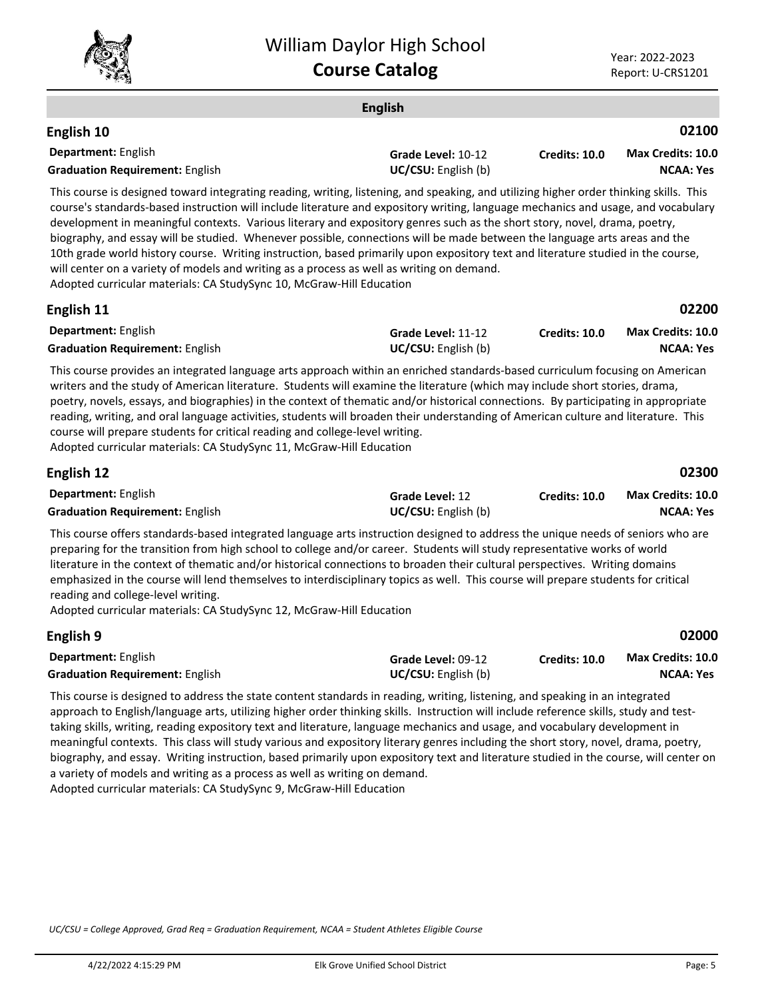

|                                                                                                                                                                                                                                                                                                                                                                                                                                                                                                                                                                                                                                                                                                                                                                                                                                                | <b>English</b>                            |                      |                                              |
|------------------------------------------------------------------------------------------------------------------------------------------------------------------------------------------------------------------------------------------------------------------------------------------------------------------------------------------------------------------------------------------------------------------------------------------------------------------------------------------------------------------------------------------------------------------------------------------------------------------------------------------------------------------------------------------------------------------------------------------------------------------------------------------------------------------------------------------------|-------------------------------------------|----------------------|----------------------------------------------|
| English 10                                                                                                                                                                                                                                                                                                                                                                                                                                                                                                                                                                                                                                                                                                                                                                                                                                     |                                           |                      | 02100                                        |
| Department: English<br><b>Graduation Requirement: English</b>                                                                                                                                                                                                                                                                                                                                                                                                                                                                                                                                                                                                                                                                                                                                                                                  | Grade Level: 10-12<br>UC/CSU: English (b) | Credits: 10.0        | <b>Max Credits: 10.0</b><br><b>NCAA: Yes</b> |
| This course is designed toward integrating reading, writing, listening, and speaking, and utilizing higher order thinking skills. This<br>course's standards-based instruction will include literature and expository writing, language mechanics and usage, and vocabulary<br>development in meaningful contexts. Various literary and expository genres such as the short story, novel, drama, poetry,<br>biography, and essay will be studied. Whenever possible, connections will be made between the language arts areas and the<br>10th grade world history course. Writing instruction, based primarily upon expository text and literature studied in the course,<br>will center on a variety of models and writing as a process as well as writing on demand.<br>Adopted curricular materials: CA StudySync 10, McGraw-Hill Education |                                           |                      |                                              |
| English 11                                                                                                                                                                                                                                                                                                                                                                                                                                                                                                                                                                                                                                                                                                                                                                                                                                     |                                           |                      | 02200                                        |
| Department: English<br><b>Graduation Requirement: English</b>                                                                                                                                                                                                                                                                                                                                                                                                                                                                                                                                                                                                                                                                                                                                                                                  | Grade Level: 11-12<br>UC/CSU: English (b) | <b>Credits: 10.0</b> | <b>Max Credits: 10.0</b><br><b>NCAA: Yes</b> |
| This course provides an integrated language arts approach within an enriched standards-based curriculum focusing on American<br>writers and the study of American literature. Students will examine the literature (which may include short stories, drama,<br>poetry, novels, essays, and biographies) in the context of thematic and/or historical connections. By participating in appropriate<br>reading, writing, and oral language activities, students will broaden their understanding of American culture and literature. This                                                                                                                                                                                                                                                                                                        |                                           |                      |                                              |

course will prepare students for critical reading and college-level writing. Adopted curricular materials: CA StudySync 11, McGraw-Hill Education

| English 12                             |                            |                      | 02300                    |
|----------------------------------------|----------------------------|----------------------|--------------------------|
| <b>Department:</b> English             | <b>Grade Level: 12</b>     | <b>Credits: 10.0</b> | <b>Max Credits: 10.0</b> |
| <b>Graduation Requirement: English</b> | <b>UC/CSU:</b> English (b) |                      | NCAA: Yes                |

This course offers standards-based integrated language arts instruction designed to address the unique needs of seniors who are preparing for the transition from high school to college and/or career. Students will study representative works of world literature in the context of thematic and/or historical connections to broaden their cultural perspectives. Writing domains emphasized in the course will lend themselves to interdisciplinary topics as well. This course will prepare students for critical reading and college-level writing.

Adopted curricular materials: CA StudySync 12, McGraw-Hill Education

| English 9                              |                            |                      | 02000                    |
|----------------------------------------|----------------------------|----------------------|--------------------------|
| <b>Department:</b> English             | Grade Level: 09-12         | <b>Credits: 10.0</b> | <b>Max Credits: 10.0</b> |
| <b>Graduation Requirement: English</b> | <b>UC/CSU:</b> English (b) |                      | NCAA: Yes                |

This course is designed to address the state content standards in reading, writing, listening, and speaking in an integrated approach to English/language arts, utilizing higher order thinking skills. Instruction will include reference skills, study and testtaking skills, writing, reading expository text and literature, language mechanics and usage, and vocabulary development in meaningful contexts. This class will study various and expository literary genres including the short story, novel, drama, poetry, biography, and essay. Writing instruction, based primarily upon expository text and literature studied in the course, will center on a variety of models and writing as a process as well as writing on demand. Adopted curricular materials: CA StudySync 9, McGraw-Hill Education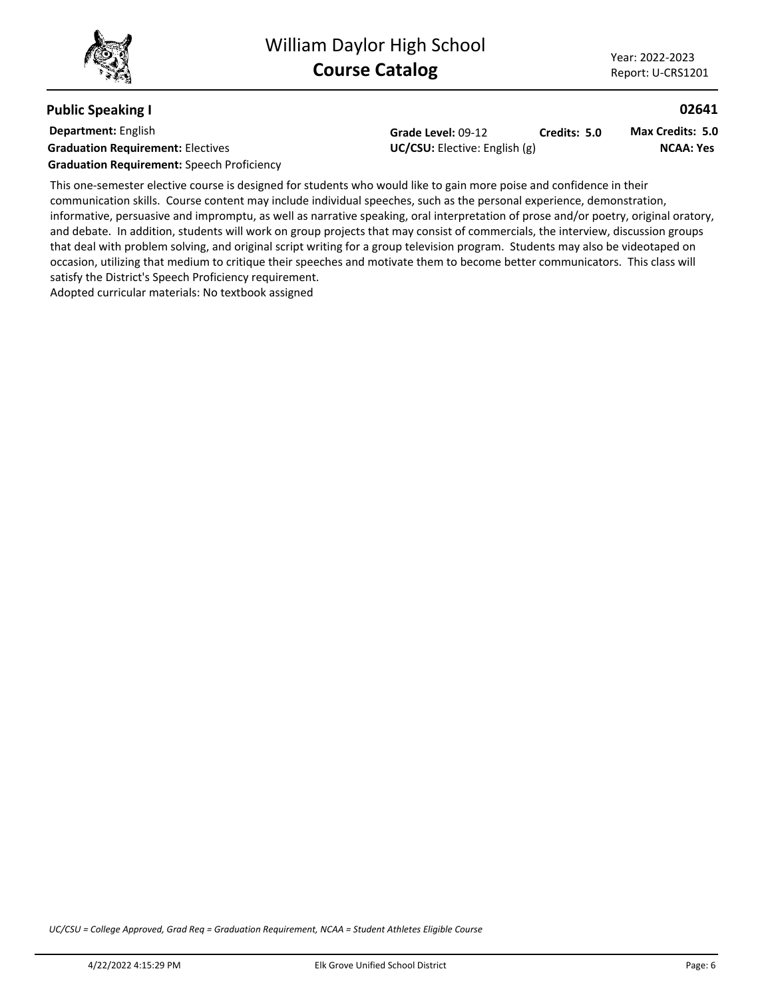## **Public Speaking I**

**Department:** English **Graduation Requirement:** Electives **Constanting Constanting Constanting Constanting Constanting Constanting Constanting Constanting Constanting Constanting Constanting Constanting Constanting Constanting Constanting Const** 

**Grade Level:** 09-12 **Credits: 5.0**

**NCAA: Yes Max Credits: 5.0**

**02641**

**Graduation Requirement:** Speech Proficiency

This one-semester elective course is designed for students who would like to gain more poise and confidence in their communication skills. Course content may include individual speeches, such as the personal experience, demonstration, informative, persuasive and impromptu, as well as narrative speaking, oral interpretation of prose and/or poetry, original oratory, and debate. In addition, students will work on group projects that may consist of commercials, the interview, discussion groups that deal with problem solving, and original script writing for a group television program. Students may also be videotaped on occasion, utilizing that medium to critique their speeches and motivate them to become better communicators. This class will satisfy the District's Speech Proficiency requirement.

Adopted curricular materials: No textbook assigned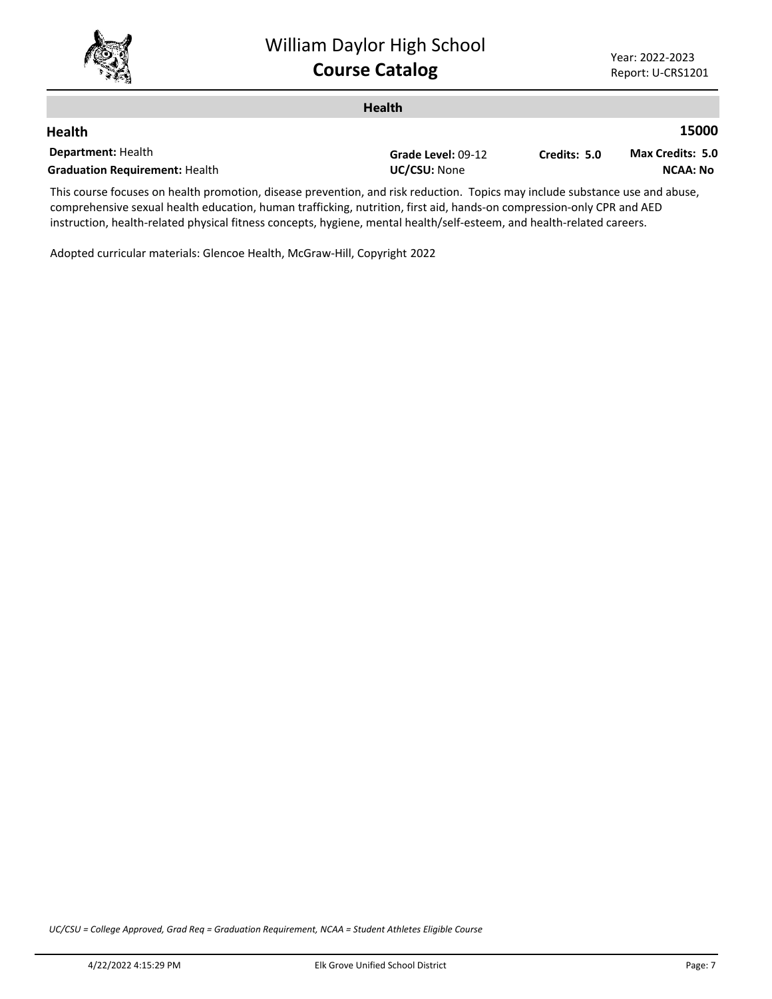

|                                                                                                                             | <b>Health</b>      |              |                  |
|-----------------------------------------------------------------------------------------------------------------------------|--------------------|--------------|------------------|
| <b>Health</b>                                                                                                               |                    |              | 15000            |
| <b>Department: Health</b>                                                                                                   | Grade Level: 09-12 | Credits: 5.0 | Max Credits: 5.0 |
| <b>Graduation Requirement: Health</b>                                                                                       | UC/CSU: None       |              | <b>NCAA: No</b>  |
| This course focuses on boalth promotion, disasse provention, and risk reduction. Topics may include substance use and abuse |                    |              |                  |

This course focuses on health promotion, disease prevention, and risk reduction. Topics may include substance use and abuse, comprehensive sexual health education, human trafficking, nutrition, first aid, hands-on compression-only CPR and AED instruction, health-related physical fitness concepts, hygiene, mental health/self-esteem, and health-related careers.

Adopted curricular materials: Glencoe Health, McGraw-Hill, Copyright 2022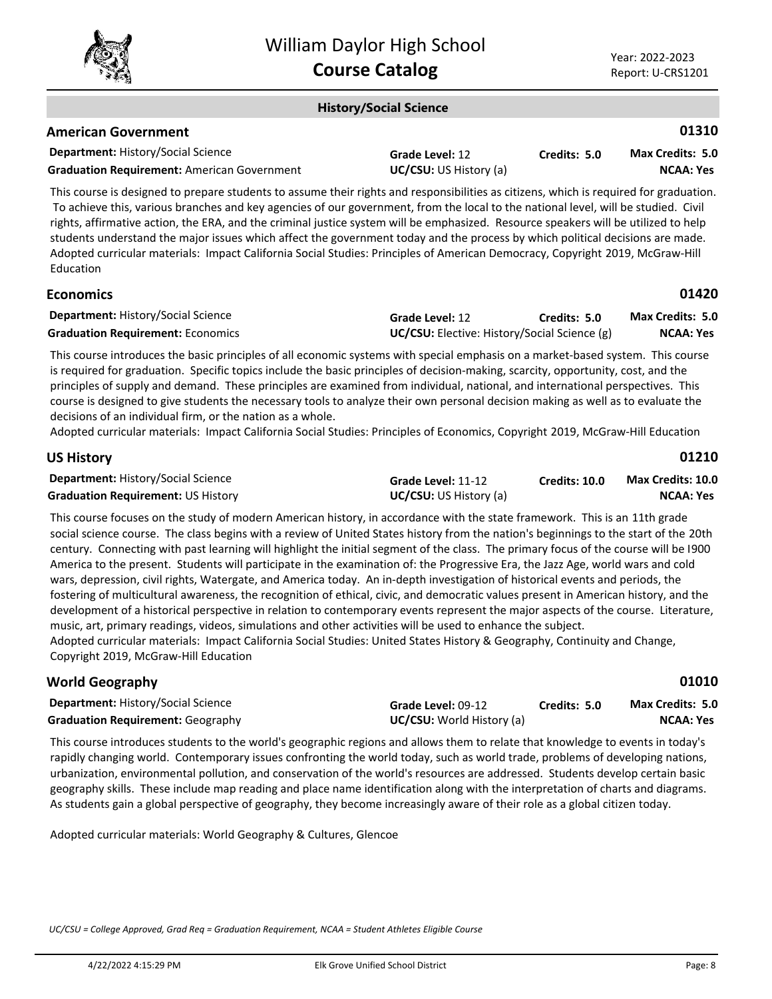

#### **History/Social Science**

#### **American Government**

| <b>Department: History/Social Science</b>          | Grade Level: 12               | Credits: 5.0 | <b>Max Credits: 5.0</b> |
|----------------------------------------------------|-------------------------------|--------------|-------------------------|
| <b>Graduation Requirement: American Government</b> | <b>UC/CSU:</b> US History (a) |              | <b>NCAA: Yes</b>        |

This course is designed to prepare students to assume their rights and responsibilities as citizens, which is required for graduation. To achieve this, various branches and key agencies of our government, from the local to the national level, will be studied. Civil rights, affirmative action, the ERA, and the criminal justice system will be emphasized. Resource speakers will be utilized to help students understand the major issues which affect the government today and the process by which political decisions are made. Adopted curricular materials: Impact California Social Studies: Principles of American Democracy, Copyright 2019, McGraw-Hill Education

### **Economics**

**01420**

**01310**

| <b>Department: History/Social Science</b> | Grade Level: 12                                     | Credits: 5.0 | <b>Max Credits: 5.0</b> |
|-------------------------------------------|-----------------------------------------------------|--------------|-------------------------|
| <b>Graduation Requirement: Economics</b>  | <b>UC/CSU:</b> Elective: History/Social Science (g) |              | NCAA: Yes               |

This course introduces the basic principles of all economic systems with special emphasis on a market-based system. This course is required for graduation. Specific topics include the basic principles of decision-making, scarcity, opportunity, cost, and the principles of supply and demand. These principles are examined from individual, national, and international perspectives. This course is designed to give students the necessary tools to analyze their own personal decision making as well as to evaluate the decisions of an individual firm, or the nation as a whole.

Adopted curricular materials: Impact California Social Studies: Principles of Economics, Copyright 2019, McGraw-Hill Education

| <b>US History</b>                         |                               |               | 01210                    |
|-------------------------------------------|-------------------------------|---------------|--------------------------|
| <b>Department: History/Social Science</b> | Grade Level: 11-12            | Credits: 10.0 | <b>Max Credits: 10.0</b> |
| <b>Graduation Requirement: US History</b> | <b>UC/CSU:</b> US History (a) |               | NCAA: Yes                |

This course focuses on the study of modern American history, in accordance with the state framework. This is an 11th grade social science course. The class begins with a review of United States history from the nation's beginnings to the start of the 20th century. Connecting with past learning will highlight the initial segment of the class. The primary focus of the course will be I900 America to the present. Students will participate in the examination of: the Progressive Era, the Jazz Age, world wars and cold wars, depression, civil rights, Watergate, and America today. An in-depth investigation of historical events and periods, the fostering of multicultural awareness, the recognition of ethical, civic, and democratic values present in American history, and the development of a historical perspective in relation to contemporary events represent the major aspects of the course. Literature, music, art, primary readings, videos, simulations and other activities will be used to enhance the subject. Adopted curricular materials: Impact California Social Studies: United States History & Geography, Continuity and Change, Copyright 2019, McGraw-Hill Education

**World Geography**

**01010**

| <b>Department: History/Social Science</b> | Grade Level: 09-12               | Credits: 5.0 | <b>Max Credits: 5.0</b> |
|-------------------------------------------|----------------------------------|--------------|-------------------------|
| <b>Graduation Requirement: Geography</b>  | <b>UC/CSU:</b> World History (a) |              | <b>NCAA: Yes</b>        |

This course introduces students to the world's geographic regions and allows them to relate that knowledge to events in today's rapidly changing world. Contemporary issues confronting the world today, such as world trade, problems of developing nations, urbanization, environmental pollution, and conservation of the world's resources are addressed. Students develop certain basic geography skills. These include map reading and place name identification along with the interpretation of charts and diagrams. As students gain a global perspective of geography, they become increasingly aware of their role as a global citizen today.

Adopted curricular materials: World Geography & Cultures, Glencoe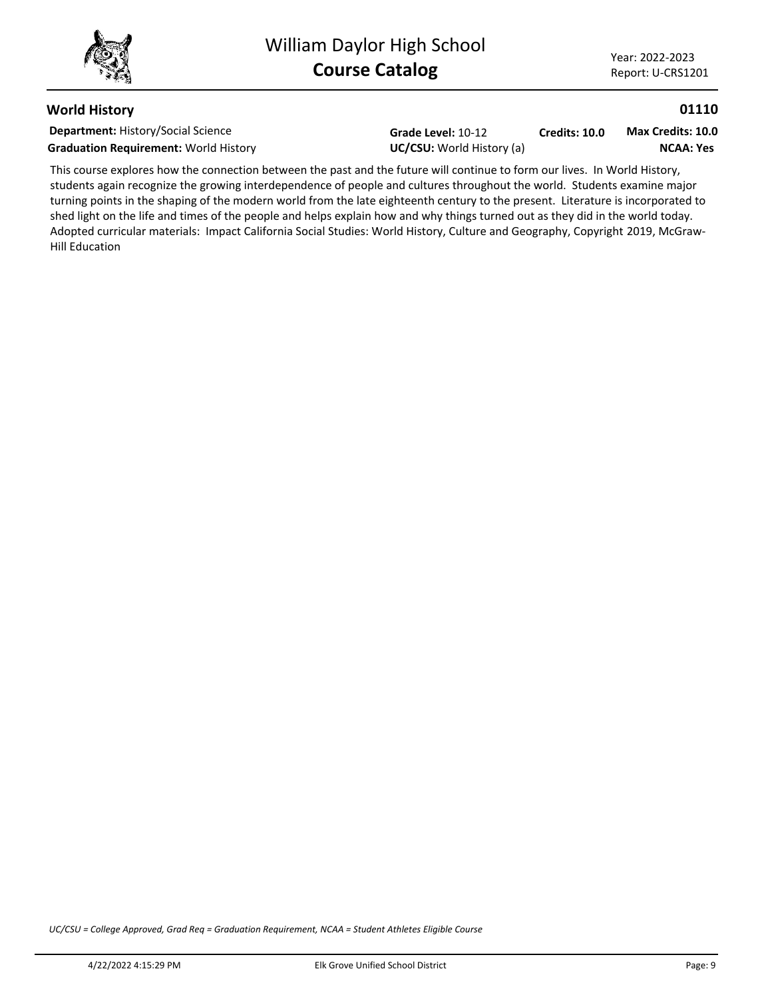**01110**

## **World History**

**Department:** History/Social Science **Graduation Requirement:** World History **UC/CSU:** World History (a)

**Grade Level:** 10-12

**Credits: 10.0 NCAA: Yes Max Credits: 10.0**

This course explores how the connection between the past and the future will continue to form our lives. In World History, students again recognize the growing interdependence of people and cultures throughout the world. Students examine major turning points in the shaping of the modern world from the late eighteenth century to the present. Literature is incorporated to shed light on the life and times of the people and helps explain how and why things turned out as they did in the world today. Adopted curricular materials: Impact California Social Studies: World History, Culture and Geography, Copyright 2019, McGraw-Hill Education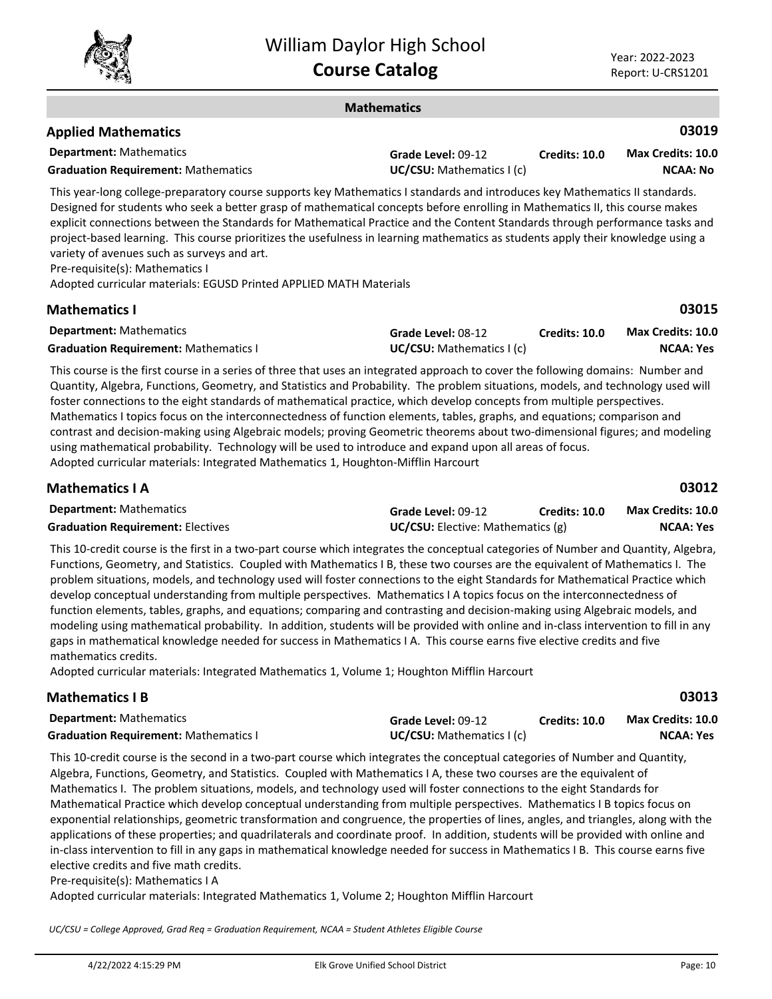**03015**

#### **Mathematics**

| <b>Applied Mathematics</b>                 |                          |               | 03019             |
|--------------------------------------------|--------------------------|---------------|-------------------|
| <b>Department:</b> Mathematics             | Grade Level: 09-12       | Credits: 10.0 | Max Credits: 10.0 |
| <b>Graduation Requirement: Mathematics</b> | UC/CSU: Mathematics I(c) |               | NCAA: No          |

This year-long college-preparatory course supports key Mathematics I standards and introduces key Mathematics II standards. Designed for students who seek a better grasp of mathematical concepts before enrolling in Mathematics II, this course makes explicit connections between the Standards for Mathematical Practice and the Content Standards through performance tasks and project-based learning. This course prioritizes the usefulness in learning mathematics as students apply their knowledge using a variety of avenues such as surveys and art.

Pre-requisite(s): Mathematics I

Adopted curricular materials: EGUSD Printed APPLIED MATH Materials

## **Mathematics I**

| <b>Department:</b> Mathematics               | Grade Level: 08-12                | <b>Credits: 10.0</b> | <b>Max Credits: 10.0</b> |
|----------------------------------------------|-----------------------------------|----------------------|--------------------------|
| <b>Graduation Requirement: Mathematics I</b> | <b>UC/CSU:</b> Mathematics $I(c)$ |                      | NCAA: Yes                |

This course is the first course in a series of three that uses an integrated approach to cover the following domains: Number and Quantity, Algebra, Functions, Geometry, and Statistics and Probability. The problem situations, models, and technology used will foster connections to the eight standards of mathematical practice, which develop concepts from multiple perspectives. Mathematics I topics focus on the interconnectedness of function elements, tables, graphs, and equations; comparison and contrast and decision-making using Algebraic models; proving Geometric theorems about two-dimensional figures; and modeling using mathematical probability. Technology will be used to introduce and expand upon all areas of focus. Adopted curricular materials: Integrated Mathematics 1, Houghton-Mifflin Harcourt

| <b>Mathematics I A</b>                   |                    |                                          | 03012                    |
|------------------------------------------|--------------------|------------------------------------------|--------------------------|
| <b>Department:</b> Mathematics           | Grade Level: 09-12 | Credits: 10.0                            | <b>Max Credits: 10.0</b> |
| <b>Graduation Requirement: Electives</b> |                    | <b>UC/CSU:</b> Elective: Mathematics (g) |                          |

This 10-credit course is the first in a two-part course which integrates the conceptual categories of Number and Quantity, Algebra, Functions, Geometry, and Statistics. Coupled with Mathematics I B, these two courses are the equivalent of Mathematics I. The problem situations, models, and technology used will foster connections to the eight Standards for Mathematical Practice which develop conceptual understanding from multiple perspectives. Mathematics I A topics focus on the interconnectedness of function elements, tables, graphs, and equations; comparing and contrasting and decision-making using Algebraic models, and modeling using mathematical probability. In addition, students will be provided with online and in-class intervention to fill in any gaps in mathematical knowledge needed for success in Mathematics I A. This course earns five elective credits and five mathematics credits.

Adopted curricular materials: Integrated Mathematics 1, Volume 1; Houghton Mifflin Harcourt

## **Mathematics I B**

| <b>Department:</b> Mathematics               | Grade Level: 09-12       | <b>Credits: 10.0</b> | <b>Max Credits: 10.0</b> |
|----------------------------------------------|--------------------------|----------------------|--------------------------|
| <b>Graduation Requirement: Mathematics I</b> | UC/CSU: Mathematics I(c) |                      | <b>NCAA: Yes</b>         |

This 10-credit course is the second in a two-part course which integrates the conceptual categories of Number and Quantity, Algebra, Functions, Geometry, and Statistics. Coupled with Mathematics I A, these two courses are the equivalent of Mathematics I. The problem situations, models, and technology used will foster connections to the eight Standards for Mathematical Practice which develop conceptual understanding from multiple perspectives. Mathematics I B topics focus on exponential relationships, geometric transformation and congruence, the properties of lines, angles, and triangles, along with the applications of these properties; and quadrilaterals and coordinate proof. In addition, students will be provided with online and in-class intervention to fill in any gaps in mathematical knowledge needed for success in Mathematics I B. This course earns five elective credits and five math credits.

Pre-requisite(s): Mathematics I A

Adopted curricular materials: Integrated Mathematics 1, Volume 2; Houghton Mifflin Harcourt

*UC/CSU = College Approved, Grad Req = Graduation Requirement, NCAA = Student Athletes Eligible Course*

**03013**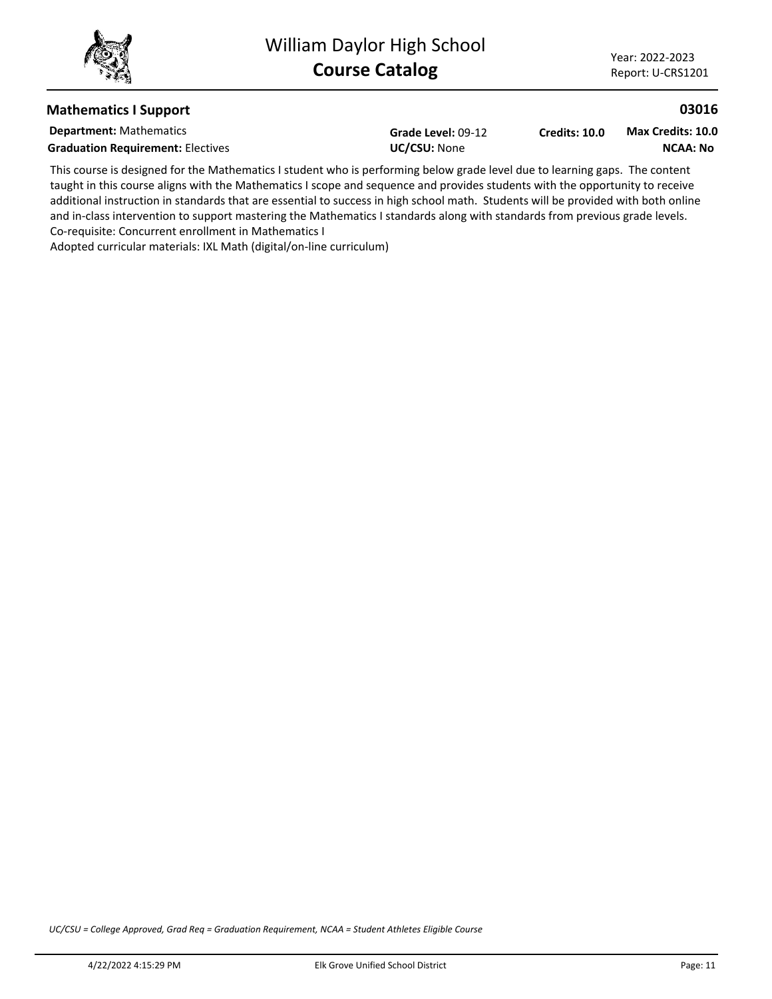**03016**

## **Mathematics I Support**

**Department:** Mathematics

Graduation Requirement: Electives<br>
UC/CSU: None

**Grade Level:** 09-12

**Credits: 10.0 NCAA: No Max Credits: 10.0**

This course is designed for the Mathematics I student who is performing below grade level due to learning gaps. The content taught in this course aligns with the Mathematics I scope and sequence and provides students with the opportunity to receive additional instruction in standards that are essential to success in high school math. Students will be provided with both online and in-class intervention to support mastering the Mathematics I standards along with standards from previous grade levels. Co-requisite: Concurrent enrollment in Mathematics I

Adopted curricular materials: IXL Math (digital/on-line curriculum)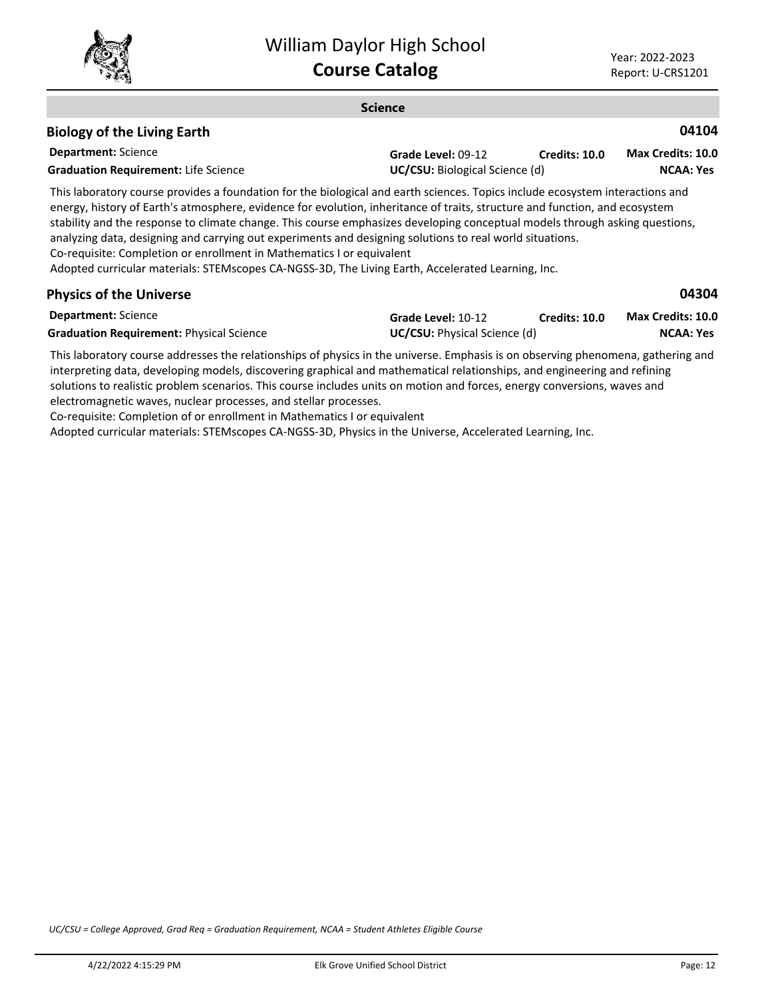

#### **Science Department:** Science **04104** This laboratory course provides a foundation for the biological and earth sciences. Topics include ecosystem interactions and energy, history of Earth's atmosphere, evidence for evolution, inheritance of traits, structure and function, and ecosystem stability and the response to climate change. This course emphasizes developing conceptual models through asking questions, analyzing data, designing and carrying out experiments and designing solutions to real world situations. Co-requisite: Completion or enrollment in Mathematics I or equivalent Adopted curricular materials: STEMscopes CA-NGSS-3D, The Living Earth, Accelerated Learning, Inc. **Biology of the Living Earth Grade Level:** 09-12 Graduation Requirement: Life Science<br>
UC/CSU: Biological Science (d) **Credits: 10.0 NCAA: Yes Max Credits: 10.0 04304 Physics of the Universe**

| <b>Department:</b> Science                      | Grade Level: 10-12                  | <b>Credits: 10.0</b> | <b>Max Credits: 10.0</b> |
|-------------------------------------------------|-------------------------------------|----------------------|--------------------------|
| <b>Graduation Requirement: Physical Science</b> | <b>UC/CSU:</b> Physical Science (d) |                      | <b>NCAA: Yes</b>         |

This laboratory course addresses the relationships of physics in the universe. Emphasis is on observing phenomena, gathering and interpreting data, developing models, discovering graphical and mathematical relationships, and engineering and refining solutions to realistic problem scenarios. This course includes units on motion and forces, energy conversions, waves and electromagnetic waves, nuclear processes, and stellar processes.

Co-requisite: Completion of or enrollment in Mathematics I or equivalent

Adopted curricular materials: STEMscopes CA-NGSS-3D, Physics in the Universe, Accelerated Learning, Inc.